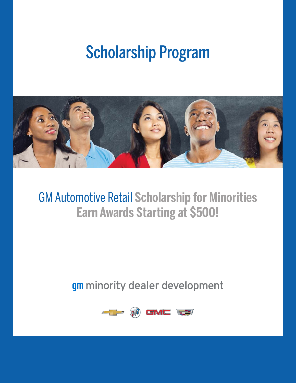# Scholarship Program



## GM Automotive Retail **Scholarship for Minorities Earn Awards Starting at \$500!**

## gm minority dealer development

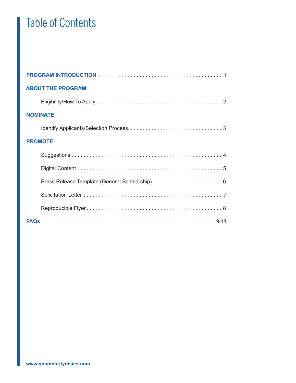## Table of Contents

| <b>ABOUT THE PROGRAM</b>                        |
|-------------------------------------------------|
|                                                 |
| <b>NOMINATE</b>                                 |
|                                                 |
| <b>PROMOTE</b>                                  |
|                                                 |
|                                                 |
| Press Release Template (General Scholarship)  6 |
|                                                 |
|                                                 |
|                                                 |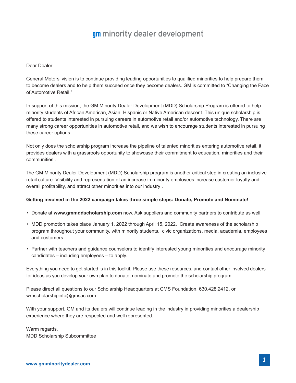### **gm** minority dealer development

### Dear Dealer:

General Motors' vision is to continue providing leading opportunities to qualified minorities to help prepare them to become dealers and to help them succeed once they become dealers. GM is committed to "Changing the Face of Automotive Retail."

In support of this mission, the GM Minority Dealer Development (MDD) Scholarship Program is offered to help minority students of African American, Asian, Hispanic or Native American descent. This unique scholarship is offered to students interested in pursuing careers in automotive retail and/or automotive technology. There are many strong career opportunities in automotive retail, and we wish to encourage students interested in pursuing these career options.

Not only does the scholarship program increase the pipeline of talented minorities entering automotive retail, it provides dealers with a grassroots opportunity to showcase their commitment to education, minorities and their communities .

The GM Minority Dealer Development (MDD) Scholarship program is another critical step in creating an inclusive retail culture. Visibility and representation of an increase in minority employees increase customer loyalty and overall profitability, and attract other minorities into our industry .

### **Getting involved in the 2022 campaign takes three simple steps: Donate, Promote and Nominate!**

- Donate at **www.gmmddscholarship.com** now. Ask suppliers and community partners to contribute as well.
- MDD promotion takes place January 1, 2022 through April 15, 2022. Create awareness of the scholarship program throughout your community, with minority students, civic organizations, media, academia, employees and customers.
- Partner with teachers and guidance counselors to identify interested young minorities and encourage minority candidates – including employees – to apply.

Everything you need to get started is in this toolkit. Please use these resources, and contact other involved dealers for ideas as you develop your own plan to donate, nominate and promote the scholarship program.

Please direct all questions to our Scholarship Headquarters at CMS Foundation, 630.428.2412, or wrnscholarshipinfo@gmsac.com.

With your support, GM and its dealers will continue leading in the industry in providing minorities a dealership experience where they are respected and well represented.

Warm regards, MDD Scholarship Subcommittee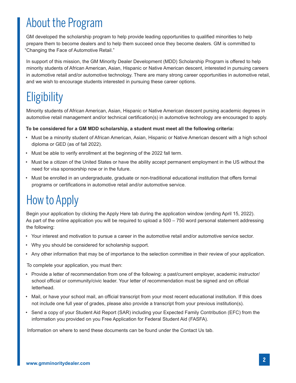## About the Program

GM developed the scholarship program to help provide leading opportunities to qualified minorities to help prepare them to become dealers and to help them succeed once they become dealers. GM is committed to "Changing the Face of Automotive Retail."

In support of this mission, the GM Minority Dealer Development (MDD) Scholarship Program is offered to help minority students of African American, Asian, Hispanic or Native American descent, interested in pursuing careers in automotive retail and/or automotive technology. There are many strong career opportunities in automotive retail, and we wish to encourage students interested in pursuing these career options.

## **Eligibility**

Minority students of African American, Asian, Hispanic or Native American descent pursing academic degrees in automotive retail management and/or technical certification(s) in automotive technology are encouraged to apply.

### **To be considered for a GM MDD scholarship, a student must meet all the following criteria:**

- Must be a minority student of African American, Asian, Hispanic or Native American descent with a high school diploma or GED (as of fall 2022).
- Must be able to verify enrollment at the beginning of the 2022 fall term.
- Must be a citizen of the United States or have the ability accept permanent employment in the US without the need for visa sponsorship now or in the future.
- Must be enrolled in an undergraduate, graduate or non-traditional educational institution that offers formal programs or certifications in automotive retail and/or automotive service.

## How to Apply

Begin your application by clicking the Apply Here tab during the application window (ending April 15, 2022). As part of the online application you will be required to upload a 500 – 750 word personal statement addressing the following:

- Your interest and motivation to pursue a career in the automotive retail and/or automotive service sector.
- Why you should be considered for scholarship support.
- Any other information that may be of importance to the selection committee in their review of your application.

To complete your application, you must then:

- Provide a letter of recommendation from one of the following: a past/current employer, academic instructor/ school official or community/civic leader. Your letter of recommendation must be signed and on official letterhead.
- Mail, or have your school mail, an official transcript from your most recent educational institution. If this does not include one full year of grades, please also provide a transcript from your previous institution(s).
- Send a copy of your Student Aid Report (SAR) including your Expected Family Contribution (EFC) from the information you provided on you Free Application for Federal Student Aid (FASFA).

Information on where to send these documents can be found under the Contact Us tab.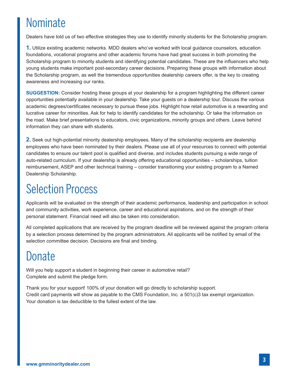## Nominate

Dealers have told us of two effective strategies they use to identify minority students for the Scholarship program.

**1.** Utilize existing academic networks. MDD dealers who've worked with local guidance counselors, education foundations, vocational programs and other academic forums have had great success in both promoting the Scholarship program to minority students and identifying potential candidates. These are the influencers who help young students make important post-secondary career decisions. Preparing these groups with information about the Scholarship program, as well the tremendous opportunities dealership careers offer, is the key to creating awareness and increasing our ranks.

**SUGGESTION:** Consider hosting these groups at your dealership for a program highlighting the different career opportunities potentially available in your dealership. Take your guests on a dealership tour. Discuss the various academic degrees/certificates necessary to pursue these jobs. Highlight how retail automotive is a rewarding and lucrative career for minorities. Ask for help to identify candidates for the scholarship. Or take the information on the road. Make brief presentations to educators, civic organizations, minority groups and others. Leave behind information they can share with students.

**2.** Seek out high-potential minority dealership employees. Many of the scholarship recipients are dealership employees who have been nominated by their dealers. Please use all of your resources to connect with potential candidates to ensure our talent pool is qualified and diverse, and includes students pursuing a wide range of auto-related curriculum. If your dealership is already offering educational opportunities – scholarships, tuition reimbursement, ASEP and other technical training – consider transitioning your existing program to a Named Dealership Scholarship.

## Selection Process

Applicants will be evaluated on the strength of their academic performance, leadership and participation in school and community activities, work experience, career and educational aspirations, and on the strength of their personal statement. Financial need will also be taken into consideration.

All completed applications that are received by the program deadline will be reviewed against the program criteria by a selection process determined by the program administrators. All applicants will be notified by email of the selection committee decision. Decisions are final and binding.

## Donate

Will you help support a student in beginning their career in automotive retail? Complete and submit the pledge form.

Thank you for your support! 100% of your donation will go directly to scholarship support. Credit card payments will show as payable to the CMS Foundation, Inc. a 501(c)3 tax exempt organization. Your donation is tax deductible to the fullest extent of the law.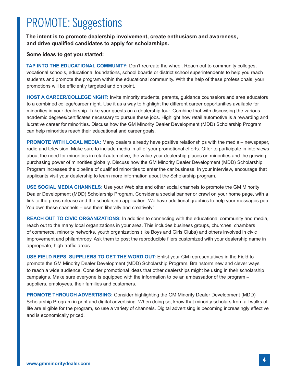## PROMOTE: Suggestions

**The intent is to promote dealership involvement, create enthusiasm and awareness, and drive qualified candidates to apply for scholarships.**

### **Some ideas to get you started:**

**TAP INTO THE EDUCATIONAL COMMUNITY:** Don't recreate the wheel. Reach out to community colleges, vocational schools, educational foundations, school boards or district school superintendents to help you reach students and promote the program within the educational community. With the help of these professionals, your promotions will be efficiently targeted and on point.

**HOST A CAREER/COLLEGE NIGHT:** Invite minority students, parents, guidance counselors and area educators to a combined college/career night. Use it as a way to highlight the different career opportunities available for minorities in your dealership. Take your guests on a dealership tour. Combine that with discussing the various academic degrees/certificates necessary to pursue these jobs. Highlight how retail automotive is a rewarding and lucrative career for minorities. Discuss how the GM Minority Dealer Development (MDD) Scholarship Program can help minorities reach their educational and career goals.

**PROMOTE WITH LOCAL MEDIA:** Many dealers already have positive relationships with the media – newspaper, radio and television. Make sure to include media in all of your promotional efforts. Offer to participate in interviews about the need for minorities in retail automotive, the value your dealership places on minorities and the growing purchasing power of minorities globally. Discuss how the GM Minority Dealer Development (MDD) Scholarship Program increases the pipeline of qualified minorities to enter the car business. In your interview, encourage that applicants visit your dealership to learn more information about the Scholarship program.

**USE SOCIAL MEDIA CHANNELS:** Use your Web site and other social channels to promote the GM Minority Dealer Development (MDD) Scholarship Program. Consider a special banner or crawl on your home page, with a link to the press release and the scholarship application. We have additional graphics to help your messages pop You own these channels – use them liberally and creatively!

**REACH OUT TO CIVIC ORGANIZATIONS:** In addition to connecting with the educational community and media, reach out to the many local organizations in your area. This includes business groups, churches, chambers of commerce, minority networks, youth organizations (like Boys and Girls Clubs) and others involved in civic improvement and philanthropy. Ask them to post the reproducible fliers customized with your dealership name in appropriate, high-traffic areas.

**USE FIELD REPS, SUPPLIERS TO GET THE WORD OUT:** Enlist your GM representatives in the Field to promote the GM Minority Dealer Development (MDD) Scholarship Program. Brainstorm new and clever ways to reach a wide audience. Consider promotional ideas that other dealerships might be using in their scholarship campaigns. Make sure everyone is equipped with the information to be an ambassador of the program – suppliers, employees, their families and customers.

**PROMOTE THROUGH ADVERTISING:** Consider highlighting the GM Minority Dealer Development (MDD) Scholarship Program in print and digital advertising. When doing so, know that minority scholars from all walks of life are eligible for the program, so use a variety of channels. Digital advertising is becoming increasingly effective and is economically priced.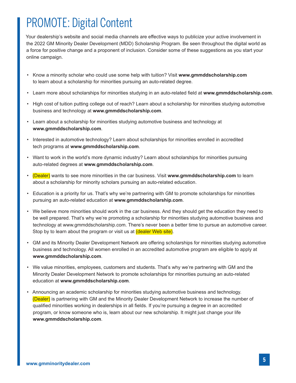## PROMOTE: Digital Content

Your dealership's website and social media channels are effective ways to publicize your active involvement in the 2022 GM Minority Dealer Development (MDD) Scholarship Program. Be seen throughout the digital world as a force for positive change and a proponent of inclusion. Consider some of these suggestions as you start your online campaign.

- Know a minority scholar who could use some help with tuition? Visit **www.gmmddscholarship.com** to learn about a scholarship for minorities pursuing an auto-related degree.
- Learn more about scholarships for minorities studying in an auto-related field at **www.gmmddscholarship.com**.
- High cost of tuition putting college out of reach? Learn about a scholarship for minorities studying automotive business and technology at **www.gmmddscholarship.com**.
- Learn about a scholarship for minorities studying automotive business and technology at **www.gmmddscholarship.com**.
- Interested in automotive technology? Learn about scholarships for minorities enrolled in accredited tech programs at **www.gmmddscholarship.com**.
- Want to work in the world's more dynamic industry? Learn about scholarships for minorities pursuing auto-related degrees at **www.gmmddscholarship.com**.
- (Dealer) wants to see more minorities in the car business. Visit **www.gmmddscholarship.com** to learn about a scholarship for minority scholars pursuing an auto-related education.
- Education is a priority for us. That's why we're partnering with GM to promote scholarships for minorities pursuing an auto-related education at **www.gmmddscholarship.com**.
- We believe more minorities should work in the car business. And they should get the education they need to be well prepared. That's why we're promoting a scholarship for minorities studying automotive business and technology at www.gmmddscholarship.com. There's never been a better time to pursue an automotive career. Stop by to learn about the program or visit us at (dealer Web site).
- GM and its Minority Dealer Development Network are offering scholarships for minorities studying automotive business and technology. All women enrolled in an accredited automotive program are eligible to apply at **www.gmmddscholarship.com**.
- We value minorities, employees, customers and students. That's why we're partnering with GM and the Minority Dealer Development Network to promote scholarships for minorities pursuing an auto-related education at **www.gmmddscholarship.com**.
- Announcing an academic scholarship for minorities studying automotive business and technology. (Dealer) is partnering with GM and the Minority Dealer Development Network to increase the number of qualified minorities working in dealerships in all fields. If you're pursuing a degree in an accredited program, or know someone who is, learn about our new scholarship. It might just change your life **www.gmmddscholarship.com**.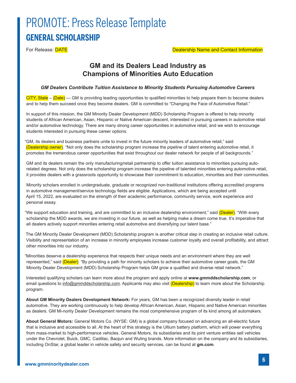## PROMOTE: Press Release Template **GENERAL SCHOLARSHIP**

For Release: DATE **DATE Example 2** and Contact Information **Dealership Name and Contact Information** 

### **GM and its Dealers Lead Industry as Champions of Minorities Auto Education**

#### *GM Dealers Contribute Tuition Assistance to Minority Students Pursuing Automotive Careers*

 $CITY$ , State – (Date) — GM is providing leading opportunities to qualified minorities to help prepare them to become dealers and to help them succeed once they become dealers. GM is committed to "Changing the Face of Automotive Retail."

In support of this mission, the GM Minority Dealer Development (MDD) Scholarship Program is offered to help minority students of African American, Asian, Hispanic or Native American descent, interested in pursuing careers in automotive retail and/or automotive technology. There are many strong career opportunities in automotive retail, and we wish to encourage students interested in pursuing these career options.

"GM, its dealers and business partners unite to invest in the future minority leaders of automotive retail," said (Dealership owner). "Not only does the scholarship program increase the pipeline of talent entering automotive retail, it promotes the tremendous career opportunities that exist throughout our dealer network for people of all backgrounds."

GM and its dealers remain the only manufacturing/retail partnership to offer tuition assistance to minorities pursuing autorelated degrees. Not only does the scholarship program increase the pipeline of talented minorities entering automotive retail, it provides dealers with a grassroots opportunity to showcase their commitment to education, minorities and their communities.

Minority scholars enrolled in undergraduate, graduate or recognized non-traditional institutions offering accredited programs in automotive management/service technology fields are eligible. Applications, which are being accepted until April 15, 2022, are evaluated on the strength of their academic performance, community service, work experience and personal essay.

"We support education and training, and are committed to an inclusive dealership environment," said <mark>(Dealer)</mark>. "With every scholarship the MDD awards, we are investing in our future, as well as helping make a dream come true. It's imperative that all dealers actively support minorities entering retail automotive and diversifying our talent base."

The GM Minority Dealer Development (MDD) Scholarship program is another critical step in creating an inclusive retail culture. Visibility and representation of an increase in minority employees increase customer loyalty and overall profitability, and attract other minorities into our industry.

"Minorities deserve a dealership experience that respects their unique needs and an environment where they are well represented," said (Dealer). "By providing a path for minority scholars to achieve their automotive career goals, the GM Minority Dealer Development (MDD) Scholarship Program helps GM grow a qualified and diverse retail network."

Interested qualifying scholars can learn more about the program and apply online at **www.gmmddscholarship.com**, or email questions to info@gmmddscholarship.com. Applicants may also visit (Dealership) to learn more about the Scholarship program.

**About GM Minority Dealers Development Network:** For years, GM has been a recognized diversity leader in retail automotive. They are working continuously to help develop African American, Asian, Hispanic and Native American minorities as dealers. GM Mi-nority Dealer Development remains the most comprehensive program of its kind among all automakers.

**About General Motors:** General Motors Co. (NYSE: GM) is a global company focused on advancing an all-electric future that is inclusive and accessible to all. At the heart of this strategy is the Ultium battery platform, which will power everything from mass-market to high-performance vehicles. General Motors, its subsidiaries and its joint venture entities sell vehicles under the Chevrolet, Buick, GMC, Cadillac, Baojun and Wuling brands. More information on the company and its subsidiaries, including OnStar, a global leader in vehicle safety and security services, can be found at **gm.com**.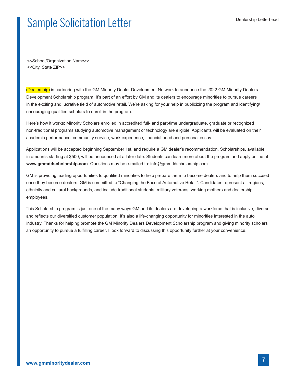## Sample Solicitation Letter Manual Dealership Letterhead

<<School/Organization Name>> <<City, State ZIP>>

(Dealership) is partnering with the GM Minority Dealer Development Network to announce the 2022 GM Minority Dealers Development Scholarship program. It's part of an effort by GM and its dealers to encourage minorities to pursue careers in the exciting and lucrative field of automotive retail. We're asking for your help in publicizing the program and identifying/ encouraging qualified scholars to enroll in the program.

Here's how it works: Minority Scholars enrolled in accredited full- and part-time undergraduate, graduate or recognized non-traditional programs studying automotive management or technology are eligible. Applicants will be evaluated on their academic performance, community service, work experience, financial need and personal essay.

Applications will be accepted beginning September 1st, and require a GM dealer's recommendation. Scholarships, available in amounts starting at \$500, will be announced at a later date. Students can learn more about the program and apply online at **www.gmmddscholarship.com**. Questions may be e-mailed to: info@gmmddscholarship.com.

GM is providing leading opportunities to qualified minorities to help prepare them to become dealers and to help them succeed once they become dealers. GM is committed to "Changing the Face of Automotive Retail". Candidates represent all regions, ethnicity and cultural backgrounds, and include traditional students, military veterans, working mothers and dealership employees.

This Scholarship program is just one of the many ways GM and its dealers are developing a workforce that is inclusive, diverse and reflects our diversified customer population. It's also a life-changing opportunity for minorities interested in the auto industry. Thanks for helping promote the GM Minority Dealers Development Scholarship program and giving minority scholars an opportunity to pursue a fulfilling career. I look forward to discussing this opportunity further at your convenience.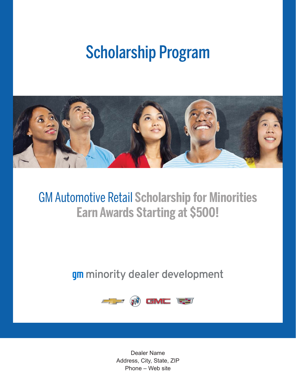# Scholarship Program



## GM Automotive Retail **Scholarship for Minorities Earn Awards Starting at \$500!**

## gm minority dealer development



Dealer Name Address, City, State, ZIP Phone – Web site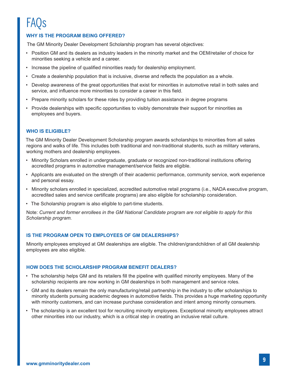## FAQs

### **WHY IS THE PROGRAM BEING OFFERED?**

The GM Minority Dealer Development Scholarship program has several objectives:

- Position GM and its dealers as industry leaders in the minority market and the OEM/retailer of choice for minorities seeking a vehicle and a career.
- Increase the pipeline of qualified minorities ready for dealership employment.
- Create a dealership population that is inclusive, diverse and reflects the population as a whole.
- Develop awareness of the great opportunities that exist for minorities in automotive retail in both sales and service, and influence more minorities to consider a career in this field.
- Prepare minority scholars for these roles by providing tuition assistance in degree programs
- Provide dealerships with specific opportunities to visibly demonstrate their support for minorities as employees and buyers.

### **WHO IS ELIGIBLE?**

The GM Minority Dealer Development Scholarship program awards scholarships to minorities from all sales regions and walks of life. This includes both traditional and non-traditional students, such as military veterans, working mothers and dealership employees.

- Minority Scholars enrolled in undergraduate, graduate or recognized non-traditional institutions offering accredited programs in automotive management/service fields are eligible.
- Applicants are evaluated on the strength of their academic performance, community service, work experience and personal essay.
- Minority scholars enrolled in specialized, accredited automotive retail programs (i.e., NADA executive program, accredited sales and service certificate programs) are also eligible for scholarship consideration.
- The Scholarship program is also eligible to part-time students.

Note: *Current and former enrollees in the GM National Candidate program are not eligible to apply for this Scholarship program.*

### **IS THE PROGRAM OPEN TO EMPLOYEES OF GM DEALERSHIPS?**

Minority employees employed at GM dealerships are eligible. The children/grandchildren of all GM dealership employees are also eligible.

### **HOW DOES THE SCHOLARSHIP PROGRAM BENEFIT DEALERS?**

- The scholarship helps GM and its retailers fill the pipeline with qualified minority employees. Many of the scholarship recipients are now working in GM dealerships in both management and service roles.
- GM and its dealers remain the only manufacturing/retail partnership in the industry to offer scholarships to minority students pursuing academic degrees in automotive fields. This provides a huge marketing opportunity with minority customers, and can increase purchase consideration and intent among minority consumers.
- The scholarship is an excellent tool for recruiting minority employees. Exceptional minority employees attract other minorities into our industry, which is a critical step in creating an inclusive retail culture.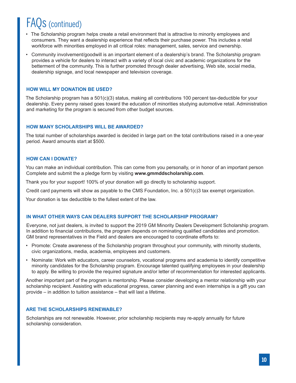## FAQs (continued)

- The Scholarship program helps create a retail environment that is attractive to minority employees and consumers. They want a dealership experience that reflects their purchase power. This includes a retail workforce with minorities employed in all critical roles: management, sales, service and ownership.
- Community involvement/goodwill is an important element of a dealership's brand. The Scholarship program provides a vehicle for dealers to interact with a variety of local civic and academic organizations for the betterment of the community. This is further promoted through dealer advertising, Web site, social media, dealership signage, and local newspaper and television coverage.

### **HOW WILL MY DONATION BE USED?**

The Scholarship program has a 501(c)(3) status, making all contributions 100 percent tax-deductible for your dealership. Every penny raised goes toward the education of minorities studying automotive retail. Administration and marketing for the program is secured from other budget sources.

### **HOW MANY SCHOLARSHIPS WILL BE AWARDED?**

The total number of scholarships awarded is decided in large part on the total contributions raised in a one-year period. Award amounts start at \$500.

### **HOW CAN I DONATE?**

You can make an individual contribution. This can come from you personally, or in honor of an important person Complete and submit the a pledge form by visiting **www.gmmddscholarship.com**.

Thank you for your support! 100% of your donation will go directly to scholarship support.

Credit card payments will show as payable to the CMS Foundation, Inc. a 501(c)3 tax exempt organization.

Your donation is tax deductible to the fullest extent of the law.

### **IN WHAT OTHER WAYS CAN DEALERS SUPPORT THE SCHOLARSHIP PROGRAM?**

Everyone, not just dealers, is invited to support the 2019 GM Minority Dealers Development Scholarship program. In addition to financial contributions, the program depends on nominating qualified candidates and promotion. GM brand representatives in the Field and dealers are encouraged to coordinate efforts to:

- Promote: Create awareness of the Scholarship program throughout your community, with minority students, civic organizations, media, academia, employees and customers.
- Nominate: Work with educators, career counselors, vocational programs and academia to identify competitive minority candidates for the Scholarship program. Encourage talented qualifying employees in your dealership to apply. Be willing to provide the required signature and/or letter of recommendation for interested applicants.

Another important part of the program is mentorship. Please consider developing a mentor relationship with your scholarship recipient. Assisting with educational progress, career planning and even internships is a gift you can provide – in addition to tuition assistance – that will last a lifetime.

### **ARE THE SCHOLARSHIPS RENEWABLE?**

Scholarships are not renewable. However, prior scholarship recipients may re-apply annually for future scholarship consideration.